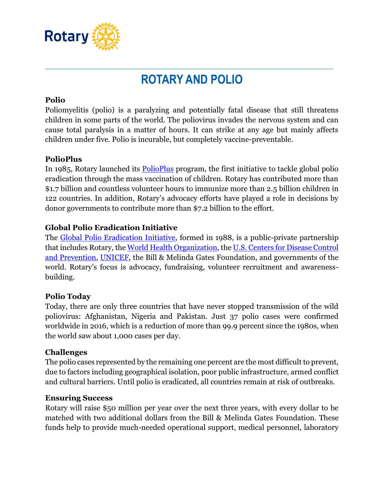

# **ROTARY AND POLIO**

#### **Polio**

Poliomyelitis (polio) is a paralyzing and potentially fatal disease that still threatens children in some parts of the world. The poliovirus invades the nervous system and can cause total paralysis in a matter of hours. It can strike at any age but mainly affects children under five. Polio is incurable, but completely vaccine-preventable.

## **PolioPlus**

In 1985, Rotary launched its [PolioPlus](http://www.endpolio.org/) program, the first initiative to tackle global polio eradication through the mass vaccination of children. Rotary has contributed more than \$1.7 billion and countless volunteer hours to immunize more than 2.5 billion children in 122 countries. In addition, Rotary's advocacy efforts have played a role in decisions by donor governments to contribute more than \$7.2 billion to the effort.

## **Global Polio Eradication Initiative**

The [Global Polio Eradication Initiative,](http://www.polioeradication.org/) formed in 1988, is a public-private partnership that includes Rotary, the [World Health Organization,](http://www.who.int/en/) th[e U.S. Centers for Disease Control](http://www.cdc.gov/)  [and Prevention,](http://www.cdc.gov/) [UNICEF,](http://www.unicef.org/) the Bill & Melinda Gates Foundation, and governments of the world. Rotary's focus is advocacy, fundraising, volunteer recruitment and awarenessbuilding.

#### **Polio Today**

Today, there are only three countries that have never stopped transmission of the wild poliovirus: Afghanistan, Nigeria and Pakistan. Just 37 polio cases were confirmed worldwide in 2016, which is a reduction of more than 99.9 percent since the 1980s, when the world saw about 1,000 cases per day*.*

#### **Challenges**

The polio cases represented by the remaining one percent are the most difficult to prevent, due to factors including geographical isolation, poor public infrastructure, armed conflict and cultural barriers. Until polio is eradicated, all countries remain at risk of outbreaks.

#### **Ensuring Success**

Rotary will raise \$50 million per year over the next three years, with every dollar to be matched with two additional dollars from the Bill & Melinda Gates Foundation. These funds help to provide much-needed operational support, medical personnel, laboratory